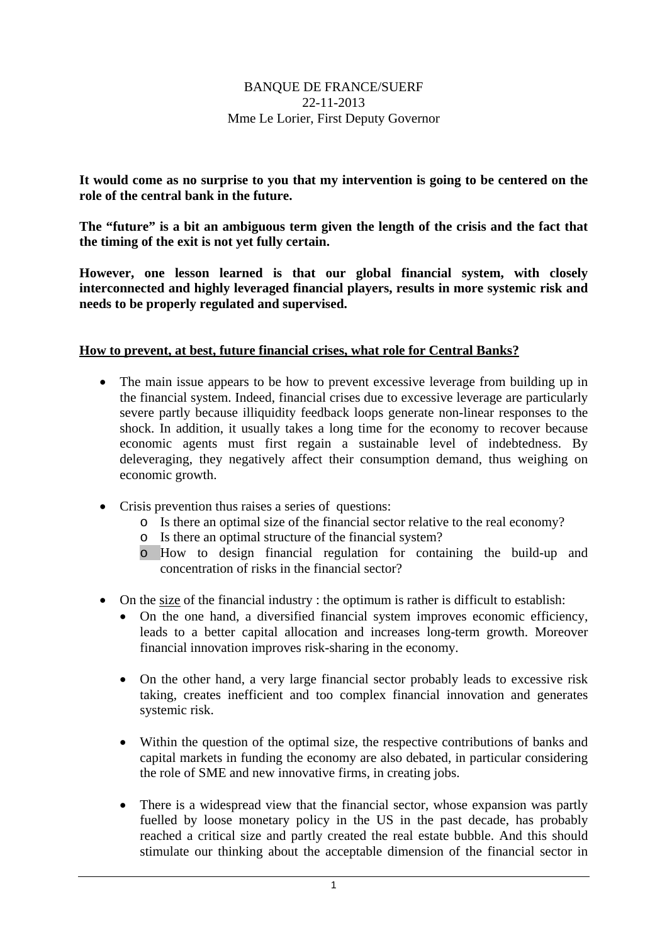## BANQUE DE FRANCE/SUERF 22-11-2013 Mme Le Lorier, First Deputy Governor

**It would come as no surprise to you that my intervention is going to be centered on the role of the central bank in the future.** 

**The "future" is a bit an ambiguous term given the length of the crisis and the fact that the timing of the exit is not yet fully certain.** 

**However, one lesson learned is that our global financial system, with closely interconnected and highly leveraged financial players, results in more systemic risk and needs to be properly regulated and supervised.** 

## **How to prevent, at best, future financial crises, what role for Central Banks?**

- The main issue appears to be how to prevent excessive leverage from building up in the financial system. Indeed, financial crises due to excessive leverage are particularly severe partly because illiquidity feedback loops generate non-linear responses to the shock. In addition, it usually takes a long time for the economy to recover because economic agents must first regain a sustainable level of indebtedness. By deleveraging, they negatively affect their consumption demand, thus weighing on economic growth.
- Crisis prevention thus raises a series of questions:
	- o Is there an optimal size of the financial sector relative to the real economy?
	- o Is there an optimal structure of the financial system?
	- o How to design financial regulation for containing the build-up and concentration of risks in the financial sector?
- On the size of the financial industry : the optimum is rather is difficult to establish:
	- On the one hand, a diversified financial system improves economic efficiency, leads to a better capital allocation and increases long-term growth. Moreover financial innovation improves risk-sharing in the economy.
	- On the other hand, a very large financial sector probably leads to excessive risk taking, creates inefficient and too complex financial innovation and generates systemic risk.
	- Within the question of the optimal size, the respective contributions of banks and capital markets in funding the economy are also debated, in particular considering the role of SME and new innovative firms, in creating jobs.
	- There is a widespread view that the financial sector, whose expansion was partly fuelled by loose monetary policy in the US in the past decade, has probably reached a critical size and partly created the real estate bubble. And this should stimulate our thinking about the acceptable dimension of the financial sector in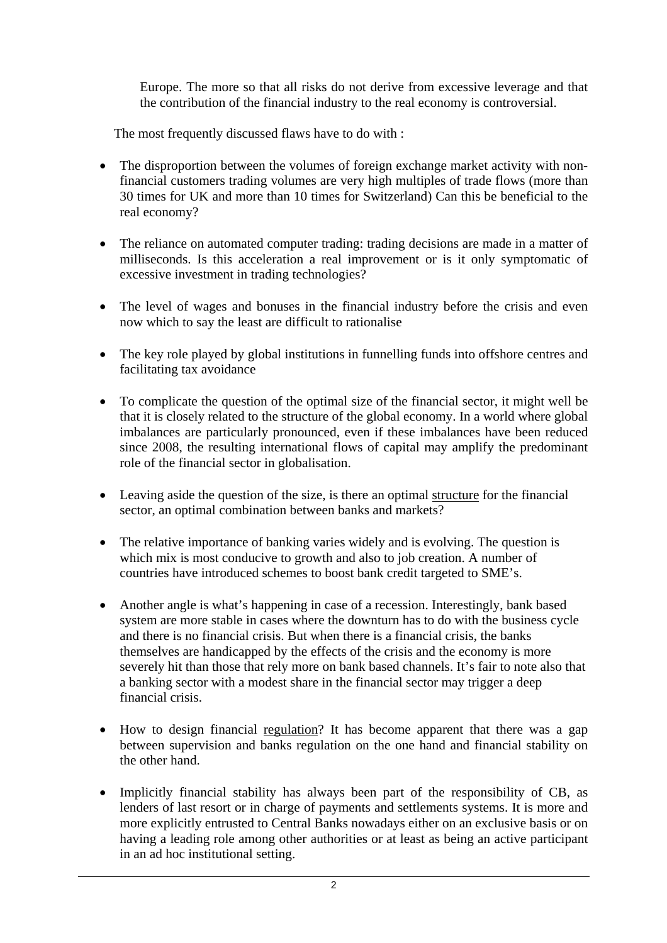Europe. The more so that all risks do not derive from excessive leverage and that the contribution of the financial industry to the real economy is controversial.

The most frequently discussed flaws have to do with :

- The disproportion between the volumes of foreign exchange market activity with nonfinancial customers trading volumes are very high multiples of trade flows (more than 30 times for UK and more than 10 times for Switzerland) Can this be beneficial to the real economy?
- The reliance on automated computer trading: trading decisions are made in a matter of milliseconds. Is this acceleration a real improvement or is it only symptomatic of excessive investment in trading technologies?
- The level of wages and bonuses in the financial industry before the crisis and even now which to say the least are difficult to rationalise
- The key role played by global institutions in funnelling funds into offshore centres and facilitating tax avoidance
- To complicate the question of the optimal size of the financial sector, it might well be that it is closely related to the structure of the global economy. In a world where global imbalances are particularly pronounced, even if these imbalances have been reduced since 2008, the resulting international flows of capital may amplify the predominant role of the financial sector in globalisation.
- Leaving aside the question of the size, is there an optimal structure for the financial sector, an optimal combination between banks and markets?
- The relative importance of banking varies widely and is evolving. The question is which mix is most conducive to growth and also to job creation. A number of countries have introduced schemes to boost bank credit targeted to SME's.
- Another angle is what's happening in case of a recession. Interestingly, bank based system are more stable in cases where the downturn has to do with the business cycle and there is no financial crisis. But when there is a financial crisis, the banks themselves are handicapped by the effects of the crisis and the economy is more severely hit than those that rely more on bank based channels. It's fair to note also that a banking sector with a modest share in the financial sector may trigger a deep financial crisis.
- How to design financial regulation? It has become apparent that there was a gap between supervision and banks regulation on the one hand and financial stability on the other hand.
- Implicitly financial stability has always been part of the responsibility of CB, as lenders of last resort or in charge of payments and settlements systems. It is more and more explicitly entrusted to Central Banks nowadays either on an exclusive basis or on having a leading role among other authorities or at least as being an active participant in an ad hoc institutional setting.